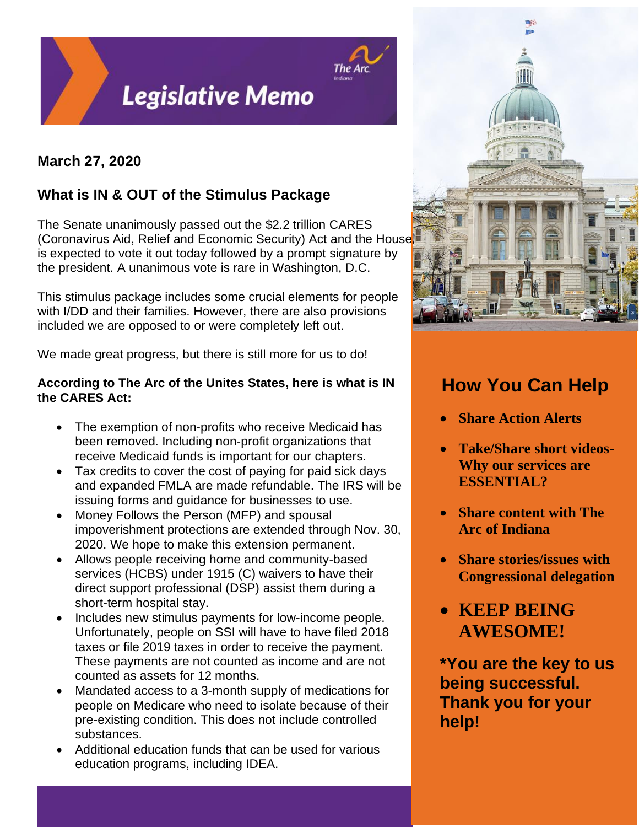

## **March 27, 2020**

# **What is IN & OUT of the Stimulus Package**

The Senate unanimously passed out the \$2.2 trillion CARES (Coronavirus Aid, Relief and Economic Security) Act and the House is expected to vote it out today followed by a prompt signature by the president. A unanimous vote is rare in Washington, D.C.

This stimulus package includes some crucial elements for people with I/DD and their families. However, there are also provisions included we are opposed to or were completely left out.

We made great progress, but there is still more for us to do!

## **According to The Arc of the Unites States, here is what is IN the CARES Act:**

- The exemption of non-profits who receive Medicaid has been removed. Including non-profit organizations that receive Medicaid funds is important for our chapters.
- Tax credits to cover the cost of paying for paid sick days and expanded FMLA are made refundable. The IRS will be issuing forms and guidance for businesses to use.
- Money Follows the Person (MFP) and spousal impoverishment protections are extended through Nov. 30, 2020. We hope to make this extension permanent.
- Allows people receiving home and community-based services (HCBS) under 1915 (C) waivers to have their direct support professional (DSP) assist them during a short-term hospital stay.
- Includes new stimulus payments for low-income people. Unfortunately, people on SSI will have to have filed 2018 taxes or file 2019 taxes in order to receive the payment. These payments are not counted as income and are not counted as assets for 12 months.
- Mandated access to a 3-month supply of medications for people on Medicare who need to isolate because of their pre-existing condition. This does not include controlled substances.
- Additional education funds that can be used for various education programs, including IDEA.



# **How You Can Help**

- **Share Action Alerts**
- **Take/Share short videos-Why our services are ESSENTIAL?**
- **Share content with The Arc of Indiana**
- **Share stories/issues with Congressional delegation**
- **KEEP BEING AWESOME!**

**\*You are the key to us being successful. Thank you for your help!**